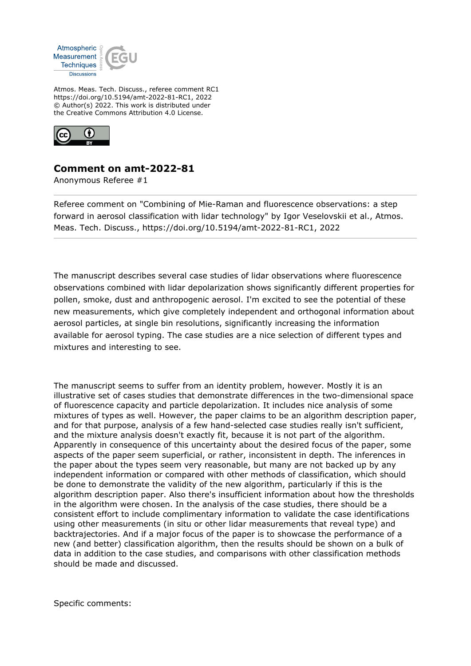

Atmos. Meas. Tech. Discuss., referee comment RC1 https://doi.org/10.5194/amt-2022-81-RC1, 2022 © Author(s) 2022. This work is distributed under the Creative Commons Attribution 4.0 License.



## **Comment on amt-2022-81**

Anonymous Referee #1

Referee comment on "Combining of Mie-Raman and fluorescence observations: a step forward in aerosol classification with lidar technology" by Igor Veselovskii et al., Atmos. Meas. Tech. Discuss., https://doi.org/10.5194/amt-2022-81-RC1, 2022

The manuscript describes several case studies of lidar observations where fluorescence observations combined with lidar depolarization shows significantly different properties for pollen, smoke, dust and anthropogenic aerosol. I'm excited to see the potential of these new measurements, which give completely independent and orthogonal information about aerosol particles, at single bin resolutions, significantly increasing the information available for aerosol typing. The case studies are a nice selection of different types and mixtures and interesting to see.

The manuscript seems to suffer from an identity problem, however. Mostly it is an illustrative set of cases studies that demonstrate differences in the two-dimensional space of fluorescence capacity and particle depolarization. It includes nice analysis of some mixtures of types as well. However, the paper claims to be an algorithm description paper, and for that purpose, analysis of a few hand-selected case studies really isn't sufficient, and the mixture analysis doesn't exactly fit, because it is not part of the algorithm. Apparently in consequence of this uncertainty about the desired focus of the paper, some aspects of the paper seem superficial, or rather, inconsistent in depth. The inferences in the paper about the types seem very reasonable, but many are not backed up by any independent information or compared with other methods of classification, which should be done to demonstrate the validity of the new algorithm, particularly if this is the algorithm description paper. Also there's insufficient information about how the thresholds in the algorithm were chosen. In the analysis of the case studies, there should be a consistent effort to include complimentary information to validate the case identifications using other measurements (in situ or other lidar measurements that reveal type) and backtrajectories. And if a major focus of the paper is to showcase the performance of a new (and better) classification algorithm, then the results should be shown on a bulk of data in addition to the case studies, and comparisons with other classification methods should be made and discussed.

Specific comments: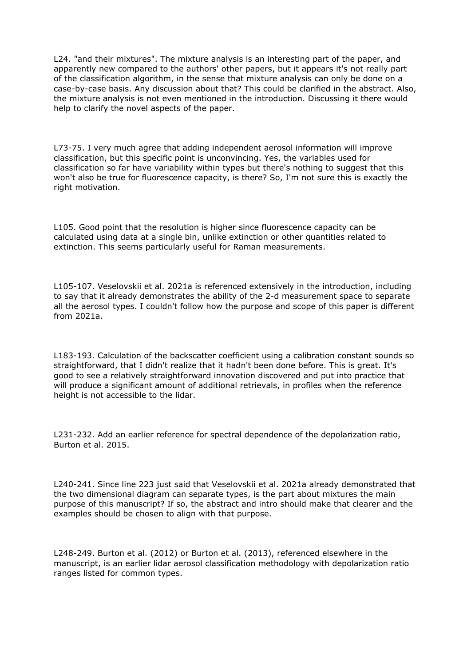L24. "and their mixtures". The mixture analysis is an interesting part of the paper, and apparently new compared to the authors' other papers, but it appears it's not really part of the classification algorithm, in the sense that mixture analysis can only be done on a case-by-case basis. Any discussion about that? This could be clarified in the abstract. Also, the mixture analysis is not even mentioned in the introduction. Discussing it there would help to clarify the novel aspects of the paper.

L73-75. I very much agree that adding independent aerosol information will improve classification, but this specific point is unconvincing. Yes, the variables used for classification so far have variability within types but there's nothing to suggest that this won't also be true for fluorescence capacity, is there? So, I'm not sure this is exactly the right motivation.

L105. Good point that the resolution is higher since fluorescence capacity can be calculated using data at a single bin, unlike extinction or other quantities related to extinction. This seems particularly useful for Raman measurements.

L105-107. Veselovskii et al. 2021a is referenced extensively in the introduction, including to say that it already demonstrates the ability of the 2-d measurement space to separate all the aerosol types. I couldn't follow how the purpose and scope of this paper is different from 2021a.

L183-193. Calculation of the backscatter coefficient using a calibration constant sounds so straightforward, that I didn't realize that it hadn't been done before. This is great. It's good to see a relatively straightforward innovation discovered and put into practice that will produce a significant amount of additional retrievals, in profiles when the reference height is not accessible to the lidar.

L231-232. Add an earlier reference for spectral dependence of the depolarization ratio, Burton et al. 2015.

L240-241. Since line 223 just said that Veselovskii et al. 2021a already demonstrated that the two dimensional diagram can separate types, is the part about mixtures the main purpose of this manuscript? If so, the abstract and intro should make that clearer and the examples should be chosen to align with that purpose.

L248-249. Burton et al. (2012) or Burton et al. (2013), referenced elsewhere in the manuscript, is an earlier lidar aerosol classification methodology with depolarization ratio ranges listed for common types.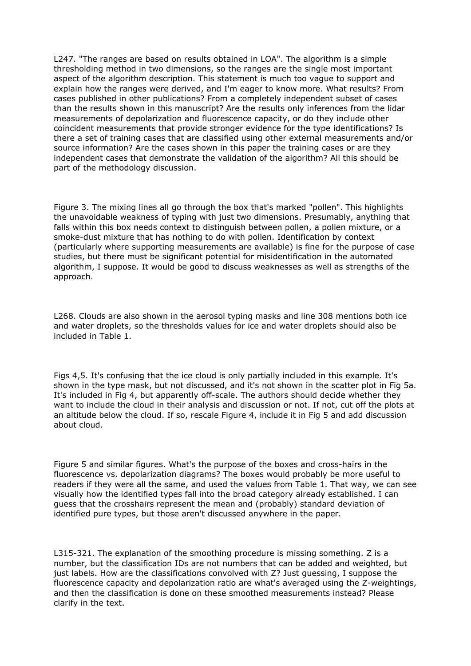L247. "The ranges are based on results obtained in LOA". The algorithm is a simple thresholding method in two dimensions, so the ranges are the single most important aspect of the algorithm description. This statement is much too vague to support and explain how the ranges were derived, and I'm eager to know more. What results? From cases published in other publications? From a completely independent subset of cases than the results shown in this manuscript? Are the results only inferences from the lidar measurements of depolarization and fluorescence capacity, or do they include other coincident measurements that provide stronger evidence for the type identifications? Is there a set of training cases that are classified using other external measurements and/or source information? Are the cases shown in this paper the training cases or are they independent cases that demonstrate the validation of the algorithm? All this should be part of the methodology discussion.

Figure 3. The mixing lines all go through the box that's marked "pollen". This highlights the unavoidable weakness of typing with just two dimensions. Presumably, anything that falls within this box needs context to distinguish between pollen, a pollen mixture, or a smoke-dust mixture that has nothing to do with pollen. Identification by context (particularly where supporting measurements are available) is fine for the purpose of case studies, but there must be significant potential for misidentification in the automated algorithm, I suppose. It would be good to discuss weaknesses as well as strengths of the approach.

L268. Clouds are also shown in the aerosol typing masks and line 308 mentions both ice and water droplets, so the thresholds values for ice and water droplets should also be included in Table 1.

Figs 4,5. It's confusing that the ice cloud is only partially included in this example. It's shown in the type mask, but not discussed, and it's not shown in the scatter plot in Fig 5a. It's included in Fig 4, but apparently off-scale. The authors should decide whether they want to include the cloud in their analysis and discussion or not. If not, cut off the plots at an altitude below the cloud. If so, rescale Figure 4, include it in Fig 5 and add discussion about cloud.

Figure 5 and similar figures. What's the purpose of the boxes and cross-hairs in the fluorescence vs. depolarization diagrams? The boxes would probably be more useful to readers if they were all the same, and used the values from Table 1. That way, we can see visually how the identified types fall into the broad category already established. I can guess that the crosshairs represent the mean and (probably) standard deviation of identified pure types, but those aren't discussed anywhere in the paper.

L315-321. The explanation of the smoothing procedure is missing something. Z is a number, but the classification IDs are not numbers that can be added and weighted, but just labels. How are the classifications convolved with Z? Just guessing, I suppose the fluorescence capacity and depolarization ratio are what's averaged using the Z-weightings, and then the classification is done on these smoothed measurements instead? Please clarify in the text.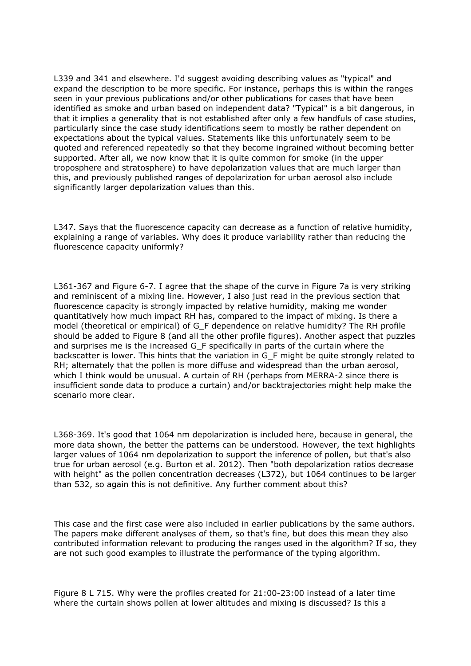L339 and 341 and elsewhere. I'd suggest avoiding describing values as "typical" and expand the description to be more specific. For instance, perhaps this is within the ranges seen in your previous publications and/or other publications for cases that have been identified as smoke and urban based on independent data? "Typical" is a bit dangerous, in that it implies a generality that is not established after only a few handfuls of case studies, particularly since the case study identifications seem to mostly be rather dependent on expectations about the typical values. Statements like this unfortunately seem to be quoted and referenced repeatedly so that they become ingrained without becoming better supported. After all, we now know that it is quite common for smoke (in the upper troposphere and stratosphere) to have depolarization values that are much larger than this, and previously published ranges of depolarization for urban aerosol also include significantly larger depolarization values than this.

L347. Says that the fluorescence capacity can decrease as a function of relative humidity, explaining a range of variables. Why does it produce variability rather than reducing the fluorescence capacity uniformly?

L361-367 and Figure 6-7. I agree that the shape of the curve in Figure 7a is very striking and reminiscent of a mixing line. However, I also just read in the previous section that fluorescence capacity is strongly impacted by relative humidity, making me wonder quantitatively how much impact RH has, compared to the impact of mixing. Is there a model (theoretical or empirical) of G\_F dependence on relative humidity? The RH profile should be added to Figure 8 (and all the other profile figures). Another aspect that puzzles and surprises me is the increased G\_F specifically in parts of the curtain where the backscatter is lower. This hints that the variation in G\_F might be quite strongly related to RH; alternately that the pollen is more diffuse and widespread than the urban aerosol, which I think would be unusual. A curtain of RH (perhaps from MERRA-2 since there is insufficient sonde data to produce a curtain) and/or backtrajectories might help make the scenario more clear.

L368-369. It's good that 1064 nm depolarization is included here, because in general, the more data shown, the better the patterns can be understood. However, the text highlights larger values of 1064 nm depolarization to support the inference of pollen, but that's also true for urban aerosol (e.g. Burton et al. 2012). Then "both depolarization ratios decrease with height" as the pollen concentration decreases (L372), but 1064 continues to be larger than 532, so again this is not definitive. Any further comment about this?

This case and the first case were also included in earlier publications by the same authors. The papers make different analyses of them, so that's fine, but does this mean they also contributed information relevant to producing the ranges used in the algorithm? If so, they are not such good examples to illustrate the performance of the typing algorithm.

Figure 8 L 715. Why were the profiles created for 21:00-23:00 instead of a later time where the curtain shows pollen at lower altitudes and mixing is discussed? Is this a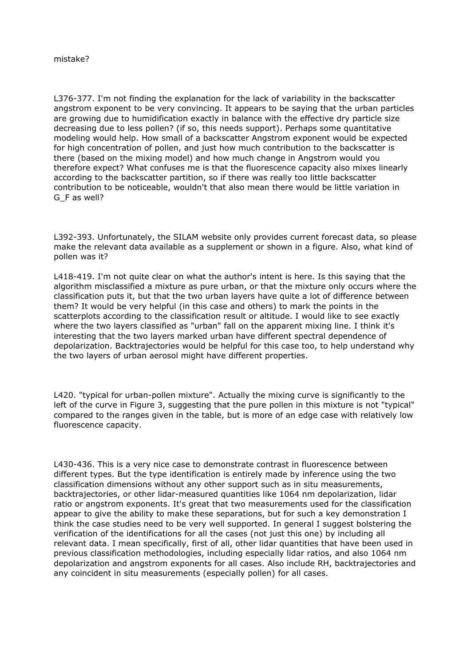L376-377. I'm not finding the explanation for the lack of variability in the backscatter angstrom exponent to be very convincing. It appears to be saying that the urban particles are growing due to humidification exactly in balance with the effective dry particle size decreasing due to less pollen? (if so, this needs support). Perhaps some quantitative modeling would help. How small of a backscatter Angstrom exponent would be expected for high concentration of pollen, and just how much contribution to the backscatter is there (based on the mixing model) and how much change in Angstrom would you therefore expect? What confuses me is that the fluorescence capacity also mixes linearly according to the backscatter partition, so if there was really too little backscatter contribution to be noticeable, wouldn't that also mean there would be little variation in G\_F as well?

L392-393. Unfortunately, the SILAM website only provides current forecast data, so please make the relevant data available as a supplement or shown in a figure. Also, what kind of pollen was it?

L418-419. I'm not quite clear on what the author's intent is here. Is this saying that the algorithm misclassified a mixture as pure urban, or that the mixture only occurs where the classification puts it, but that the two urban layers have quite a lot of difference between them? It would be very helpful (in this case and others) to mark the points in the scatterplots according to the classification result or altitude. I would like to see exactly where the two layers classified as "urban" fall on the apparent mixing line. I think it's interesting that the two layers marked urban have different spectral dependence of depolarization. Backtrajectories would be helpful for this case too, to help understand why the two layers of urban aerosol might have different properties.

L420. "typical for urban-pollen mixture". Actually the mixing curve is significantly to the left of the curve in Figure 3, suggesting that the pure pollen in this mixture is not "typical" compared to the ranges given in the table, but is more of an edge case with relatively low fluorescence capacity.

L430-436. This is a very nice case to demonstrate contrast in fluorescence between different types. But the type identification is entirely made by inference using the two classification dimensions without any other support such as in situ measurements, backtrajectories, or other lidar-measured quantities like 1064 nm depolarization, lidar ratio or angstrom exponents. It's great that two measurements used for the classification appear to give the ability to make these separations, but for such a key demonstration I think the case studies need to be very well supported. In general I suggest bolstering the verification of the identifications for all the cases (not just this one) by including all relevant data. I mean specifically, first of all, other lidar quantities that have been used in previous classification methodologies, including especially lidar ratios, and also 1064 nm depolarization and angstrom exponents for all cases. Also include RH, backtrajectories and any coincident in situ measurements (especially pollen) for all cases.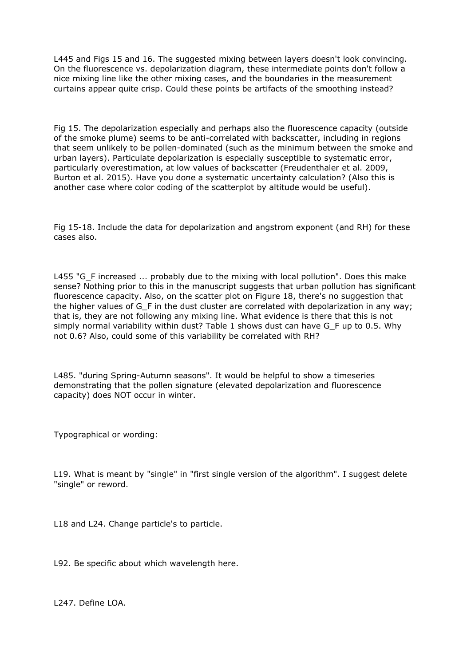L445 and Figs 15 and 16. The suggested mixing between layers doesn't look convincing. On the fluorescence vs. depolarization diagram, these intermediate points don't follow a nice mixing line like the other mixing cases, and the boundaries in the measurement curtains appear quite crisp. Could these points be artifacts of the smoothing instead?

Fig 15. The depolarization especially and perhaps also the fluorescence capacity (outside of the smoke plume) seems to be anti-correlated with backscatter, including in regions that seem unlikely to be pollen-dominated (such as the minimum between the smoke and urban layers). Particulate depolarization is especially susceptible to systematic error, particularly overestimation, at low values of backscatter (Freudenthaler et al. 2009, Burton et al. 2015). Have you done a systematic uncertainty calculation? (Also this is another case where color coding of the scatterplot by altitude would be useful).

Fig 15-18. Include the data for depolarization and angstrom exponent (and RH) for these cases also.

L455 "G\_F increased ... probably due to the mixing with local pollution". Does this make sense? Nothing prior to this in the manuscript suggests that urban pollution has significant fluorescence capacity. Also, on the scatter plot on Figure 18, there's no suggestion that the higher values of G\_F in the dust cluster are correlated with depolarization in any way; that is, they are not following any mixing line. What evidence is there that this is not simply normal variability within dust? Table 1 shows dust can have G F up to 0.5. Why not 0.6? Also, could some of this variability be correlated with RH?

L485. "during Spring-Autumn seasons". It would be helpful to show a timeseries demonstrating that the pollen signature (elevated depolarization and fluorescence capacity) does NOT occur in winter.

Typographical or wording:

L19. What is meant by "single" in "first single version of the algorithm". I suggest delete "single" or reword.

L18 and L24. Change particle's to particle.

L92. Be specific about which wavelength here.

L247. Define LOA.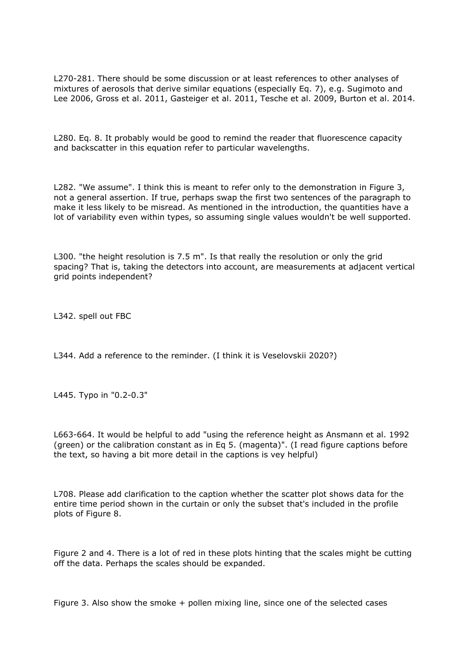L270-281. There should be some discussion or at least references to other analyses of mixtures of aerosols that derive similar equations (especially Eq. 7), e.g. Sugimoto and Lee 2006, Gross et al. 2011, Gasteiger et al. 2011, Tesche et al. 2009, Burton et al. 2014.

L280. Eq. 8. It probably would be good to remind the reader that fluorescence capacity and backscatter in this equation refer to particular wavelengths.

L282. "We assume". I think this is meant to refer only to the demonstration in Figure 3, not a general assertion. If true, perhaps swap the first two sentences of the paragraph to make it less likely to be misread. As mentioned in the introduction, the quantities have a lot of variability even within types, so assuming single values wouldn't be well supported.

L300. "the height resolution is 7.5 m". Is that really the resolution or only the grid spacing? That is, taking the detectors into account, are measurements at adjacent vertical grid points independent?

L342. spell out FBC

L344. Add a reference to the reminder. (I think it is Veselovskii 2020?)

L445. Typo in "0.2-0.3"

L663-664. It would be helpful to add "using the reference height as Ansmann et al. 1992 (green) or the calibration constant as in Eq 5. (magenta)". (I read figure captions before the text, so having a bit more detail in the captions is vey helpful)

L708. Please add clarification to the caption whether the scatter plot shows data for the entire time period shown in the curtain or only the subset that's included in the profile plots of Figure 8.

Figure 2 and 4. There is a lot of red in these plots hinting that the scales might be cutting off the data. Perhaps the scales should be expanded.

Figure 3. Also show the smoke + pollen mixing line, since one of the selected cases